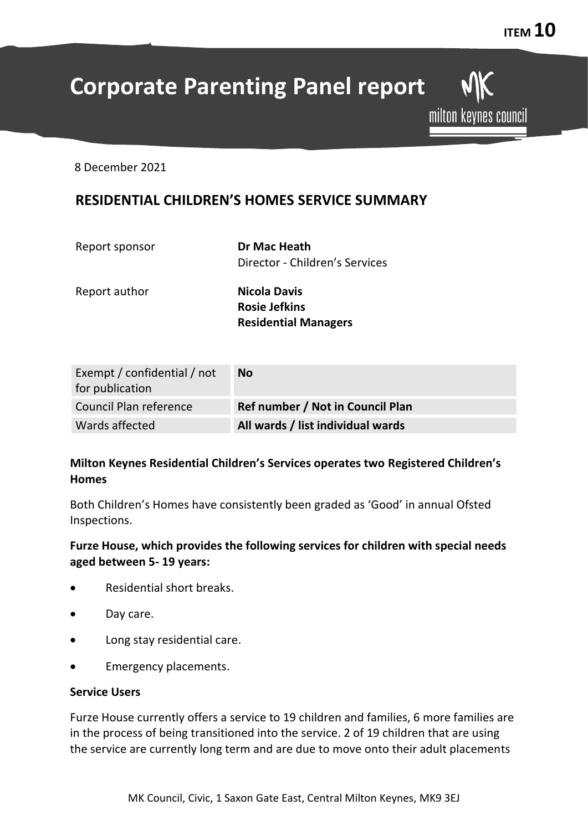milton keynes council

# **Corporate Parenting Panel report**

8 December 2021

## **RESIDENTIAL CHILDREN'S HOMES SERVICE SUMMARY**

Report sponsor **Dr Mac Heath**

Director - Children's Services

Report author **Nicola Davis**

**Rosie Jefkins Residential Managers**

| Exempt / confidential / not<br>for publication | <b>No</b>                         |
|------------------------------------------------|-----------------------------------|
| Council Plan reference                         | Ref number / Not in Council Plan  |
| Wards affected                                 | All wards / list individual wards |

## **Milton Keynes Residential Children's Services operates two Registered Children's Homes**

Both Children's Homes have consistently been graded as 'Good' in annual Ofsted Inspections.

## **Furze House, which provides the following services for children with special needs aged between 5- 19 years:**

- Residential short breaks.
- Day care.
- Long stay residential care.
- Emergency placements.

#### **Service Users**

Furze House currently offers a service to 19 children and families, 6 more families are in the process of being transitioned into the service. 2 of 19 children that are using the service are currently long term and are due to move onto their adult placements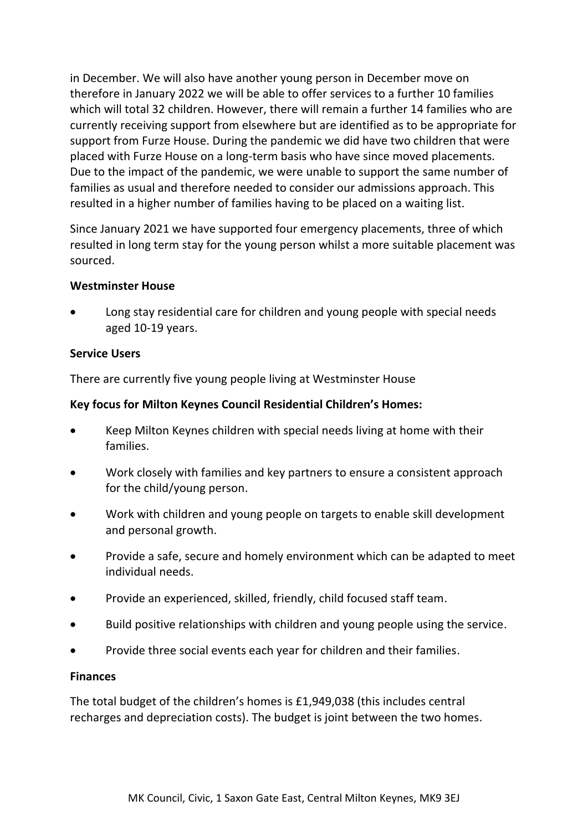in December. We will also have another young person in December move on therefore in January 2022 we will be able to offer services to a further 10 families which will total 32 children. However, there will remain a further 14 families who are currently receiving support from elsewhere but are identified as to be appropriate for support from Furze House. During the pandemic we did have two children that were placed with Furze House on a long-term basis who have since moved placements. Due to the impact of the pandemic, we were unable to support the same number of families as usual and therefore needed to consider our admissions approach. This resulted in a higher number of families having to be placed on a waiting list.

Since January 2021 we have supported four emergency placements, three of which resulted in long term stay for the young person whilst a more suitable placement was sourced.

#### **Westminster House**

• Long stay residential care for children and young people with special needs aged 10-19 years.

#### **Service Users**

There are currently five young people living at Westminster House

#### **Key focus for Milton Keynes Council Residential Children's Homes:**

- Keep Milton Keynes children with special needs living at home with their families.
- Work closely with families and key partners to ensure a consistent approach for the child/young person.
- Work with children and young people on targets to enable skill development and personal growth.
- Provide a safe, secure and homely environment which can be adapted to meet individual needs.
- Provide an experienced, skilled, friendly, child focused staff team.
- Build positive relationships with children and young people using the service.
- Provide three social events each year for children and their families.

#### **Finances**

The total budget of the children's homes is £1,949,038 (this includes central recharges and depreciation costs). The budget is joint between the two homes.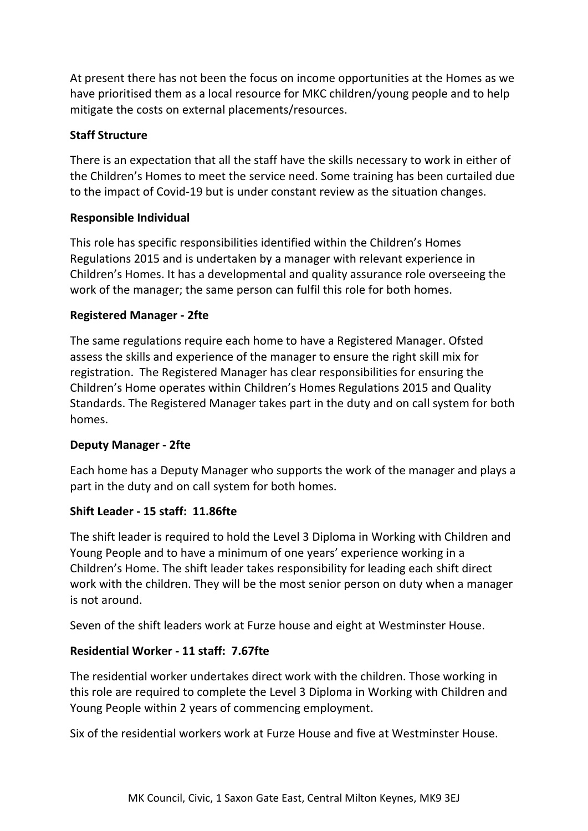At present there has not been the focus on income opportunities at the Homes as we have prioritised them as a local resource for MKC children/young people and to help mitigate the costs on external placements/resources.

## **Staff Structure**

There is an expectation that all the staff have the skills necessary to work in either of the Children's Homes to meet the service need. Some training has been curtailed due to the impact of Covid-19 but is under constant review as the situation changes.

## **Responsible Individual**

This role has specific responsibilities identified within the Children's Homes Regulations 2015 and is undertaken by a manager with relevant experience in Children's Homes. It has a developmental and quality assurance role overseeing the work of the manager; the same person can fulfil this role for both homes.

## **Registered Manager - 2fte**

The same regulations require each home to have a Registered Manager. Ofsted assess the skills and experience of the manager to ensure the right skill mix for registration. The Registered Manager has clear responsibilities for ensuring the Children's Home operates within Children's Homes Regulations 2015 and Quality Standards. The Registered Manager takes part in the duty and on call system for both homes.

## **Deputy Manager - 2fte**

Each home has a Deputy Manager who supports the work of the manager and plays a part in the duty and on call system for both homes.

## **Shift Leader - 15 staff: 11.86fte**

The shift leader is required to hold the Level 3 Diploma in Working with Children and Young People and to have a minimum of one years' experience working in a Children's Home. The shift leader takes responsibility for leading each shift direct work with the children. They will be the most senior person on duty when a manager is not around.

Seven of the shift leaders work at Furze house and eight at Westminster House.

## **Residential Worker - 11 staff: 7.67fte**

The residential worker undertakes direct work with the children. Those working in this role are required to complete the Level 3 Diploma in Working with Children and Young People within 2 years of commencing employment.

Six of the residential workers work at Furze House and five at Westminster House.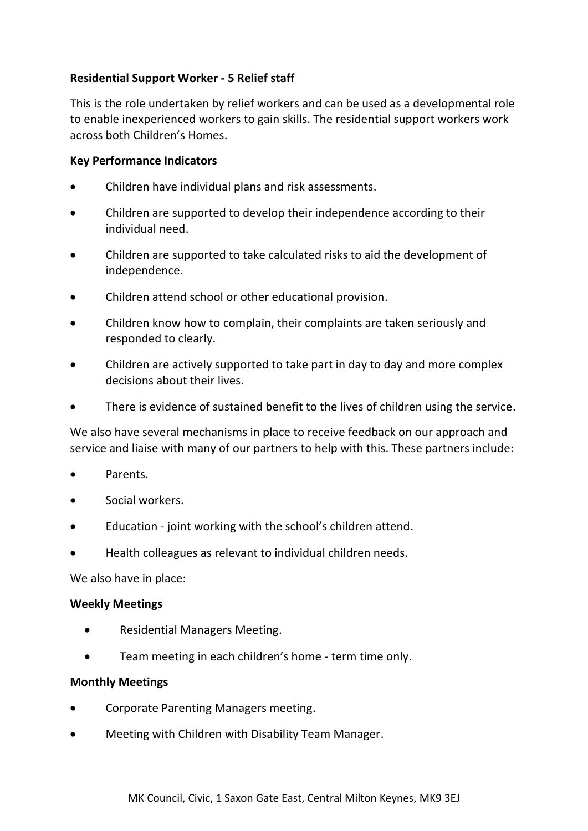## **Residential Support Worker - 5 Relief staff**

This is the role undertaken by relief workers and can be used as a developmental role to enable inexperienced workers to gain skills. The residential support workers work across both Children's Homes.

### **Key Performance Indicators**

- Children have individual plans and risk assessments.
- Children are supported to develop their independence according to their individual need.
- Children are supported to take calculated risks to aid the development of independence.
- Children attend school or other educational provision.
- Children know how to complain, their complaints are taken seriously and responded to clearly.
- Children are actively supported to take part in day to day and more complex decisions about their lives.
- There is evidence of sustained benefit to the lives of children using the service.

We also have several mechanisms in place to receive feedback on our approach and service and liaise with many of our partners to help with this. These partners include:

- Parents.
- Social workers.
- Education joint working with the school's children attend.
- Health colleagues as relevant to individual children needs.

We also have in place:

#### **Weekly Meetings**

- Residential Managers Meeting.
- Team meeting in each children's home term time only.

#### **Monthly Meetings**

- Corporate Parenting Managers meeting.
- Meeting with Children with Disability Team Manager.